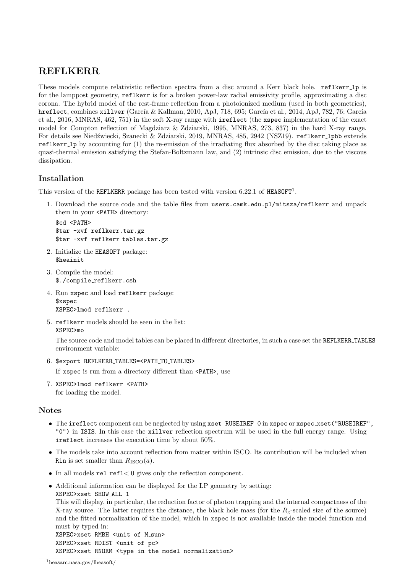## REFLKERR

These models compute relativistic reflection spectra from a disc around a Kerr black hole. reflkerr\_lp is for the lamppost geometry, reflkerr is for a broken power-law radial emissivity profile, approximating a disc corona. The hybrid model of the rest-frame reflection from a photoionized medium (used in both geometries), hreflect, combines xillver (García & Kallman, 2010, ApJ, 718, 695; García et al., 2014, ApJ, 782, 76; García et al., 2016, MNRAS, 462, 751) in the soft X-ray range with ireflect (the xspec implementation of the exact model for Compton reflection of Magdziarz & Zdziarski, 1995, MNRAS, 273, 837) in the hard X-ray range. For details see Niedźwiecki, Szanecki & Zdziarski, 2019, MNRAS, 485, 2942 (NSZ19). reflkerr\_lpbb extends reflkerr lp by accounting for (1) the re-emission of the irradiating flux absorbed by the disc taking place as quasi-thermal emission satisfying the Stefan-Boltzmann law, and (2) intrinsic disc emission, due to the viscous dissipation.

### Installation

This version of the REFLKERR package has been tested with version  $6.22.1$  of HEASOFT<sup>1</sup>.

1. Download the source code and the table files from users.camk.edu.pl/mitsza/reflkerr and unpack them in your <PATH> directory:

```
$cd <PATH>
$tar -xvf reflkerr.tar.gz
$tar -xvf reflkerr tables.tar.gz
```
- 2. Initialize the HEASOFT package: \$heainit
- 3. Compile the model: \$./compile reflkerr.csh
- 4. Run xspec and load reflkerr package: \$xspec XSPEC>lmod reflkerr .
- 5. reflkerr models should be seen in the list: XSPEC>mo

The source code and model tables can be placed in different directories, in such a case set the REFLKERR TABLES environment variable:

6. \$export REFLKERR TABLES=<PATH TO TABLES>

If xspec is run from a directory different than <PATH>, use

7. XSPEC>lmod reflkerr <PATH> for loading the model.

#### Notes

- The ireflect component can be neglected by using xset RUSEIREF 0 in xspec or xspec\_xset("RUSEIREF", "0") in ISIS. In this case the xillver reflection spectrum will be used in the full energy range. Using ireflect increases the execution time by about 50%.
- The models take into account reflection from matter within ISCO. Its contribution will be included when Rin is set smaller than  $R_{\text{ISCO}}(a)$ .
- In all models rel refl< 0 gives only the reflection component.
- Additional information can be displayed for the LP geometry by setting: XSPEC>xset SHOW ALL 1

```
This will display, in particular, the reduction factor of photon trapping and the internal compactness of the
X-ray source. The latter requires the distance, the black hole mass (for the R_g-scaled size of the source)
and the fitted normalization of the model, which in xspec is not available inside the model function and
must by typed in:
```
XSPEC>xset RMBH <unit of M\_sun> XSPEC>xset RDIST <unit of pc> XSPEC>xset RNORM <type in the model normalization>

<sup>1</sup>heasarc.nasa.gov/lheasoft/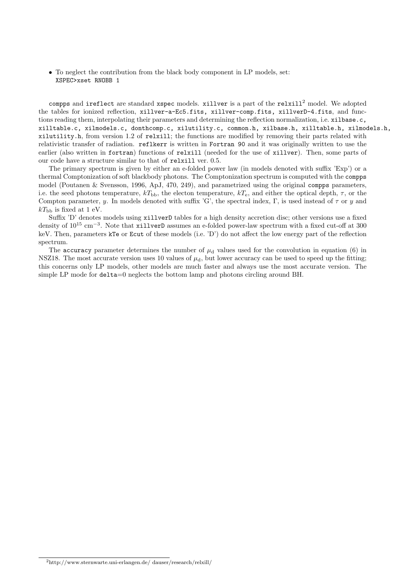• To neglect the contribution from the black body component in LP models, set: XSPEC>xset RNOBB 1

compps and ireflect are standard xspec models. xillver is a part of the relxill<sup>2</sup> model. We adopted the tables for ionized reflection, xillver-a-Ec5.fits, xillver-comp.fits, xillverD-4.fits, and functions reading them, interpolating their parameters and determining the reflection normalization, i.e. xilbase.c, xilltable.c, xilmodels.c, donthcomp.c, xilutility.c, common.h, xilbase.h, xilltable.h, xilmodels.h, xilutility.h, from version 1.2 of relxill; the functions are modified by removing their parts related with relativistic transfer of radiation. reflkerr is written in Fortran 90 and it was originally written to use the earlier (also written in fortran) functions of relxill (needed for the use of xillver). Then, some parts of our code have a structure similar to that of relxill ver. 0.5.

The primary spectrum is given by either an e-folded power law (in models denoted with suffix 'Exp') or a thermal Comptonization of soft blackbody photons. The Comptonization spectrum is computed with the compps model (Poutanen & Svensson, 1996, ApJ, 470, 249), and parametrized using the original compps parameters, i.e. the seed photons temperature,  $kT_{\text{bb}}$ , the electon temperature,  $kT_{\text{e}}$ , and either the optical depth,  $\tau$ , or the Compton parameter, y. In models denoted with suffix 'G', the spectral index, Γ, is used instead of  $\tau$  or y and  $kT_{\rm bb}$  is fixed at 1 eV.

Suffix 'D' denotes models using xillverD tables for a high density accretion disc; other versions use a fixed density of 10<sup>15</sup> cm<sup>-3</sup>. Note that xillverD assumes an e-folded power-law spectrum with a fixed cut-off at 300 keV. Then, parameters kTe or Ecut of these models (i.e. 'D') do not affect the low energy part of the reflection spectrum.

The accuracy parameter determines the number of  $\mu_d$  values used for the convolution in equation (6) in NSZ18. The most accurate version uses 10 values of  $\mu_d$ , but lower accuracy can be used to speed up the fitting; this concerns only LP models, other models are much faster and always use the most accurate version. The simple LP mode for delta=0 neglects the bottom lamp and photons circling around BH.

<sup>2</sup>http://www.sternwarte.uni-erlangen.de/ dauser/research/relxill/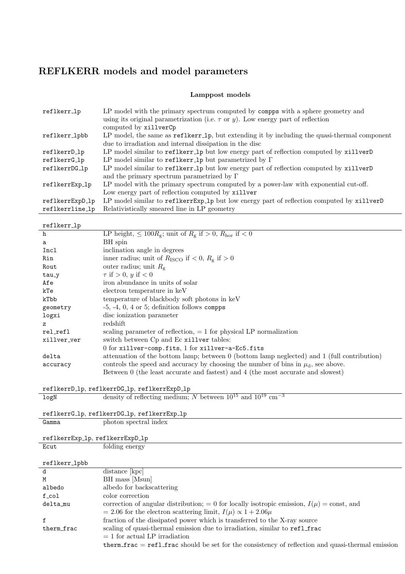# REFLKERR models and model parameters

### Lamppost models

| reflkerr_lp               | LP model with the primary spectrum computed by compps with a sphere geometry and<br>using its original parametrization (i.e. $\tau$ or $y$ ). Low energy part of reflection<br>computed by xillverCp |
|---------------------------|------------------------------------------------------------------------------------------------------------------------------------------------------------------------------------------------------|
| reflkerr_lpbb             | LP model, the same as reflkerr_lp, but extending it by including the quasi-thermal component                                                                                                         |
|                           | due to irradiation and internal dissipation in the disc                                                                                                                                              |
| reflkerrD <sub>-</sub> lp | LP model similar to reflkerr_lp but low energy part of reflection computed by xillverD                                                                                                               |
| reflkerrG_lp              | LP model similar to reflkerr_lp but parametrized by $\Gamma$                                                                                                                                         |
| reflkerrDG_1p             | LP model similar to reflkerr_lp but low energy part of reflection computed by xillverD                                                                                                               |
|                           | and the primary spectrum parametrized by $\Gamma$                                                                                                                                                    |
| reflkerrExp_lp            | LP model with the primary spectrum computed by a power-law with exponential cut-off.                                                                                                                 |
|                           | Low energy part of reflection computed by xillver                                                                                                                                                    |
| reflkerrExpD_lp           | LP model similar to reflkerrExp_lp but low energy part of reflection computed by xillverD                                                                                                            |
| reflkerrline_lp           | Relativistically smeared line in LP geometry                                                                                                                                                         |

 $\overline{a}$ 

# reflkerr lp

| TOT TUCT TIME                                |                                                                                             |  |  |  |
|----------------------------------------------|---------------------------------------------------------------------------------------------|--|--|--|
| h                                            | LP height, $\leq 100R_{\rm g}$ ; unit of $R_{\rm g}$ if $> 0$ , $R_{\rm hor}$ if $< 0$      |  |  |  |
| a                                            | BH spin                                                                                     |  |  |  |
| Incl                                         | inclination angle in degrees                                                                |  |  |  |
| Rin                                          | inner radius; unit of $R_{\text{ISCO}}$ if $< 0$ , $R_{\text{g}}$ if $> 0$                  |  |  |  |
| Rout                                         | outer radius; unit $R_{\rm g}$                                                              |  |  |  |
| tau_y                                        | $\tau$ if $> 0$ , y if $< 0$                                                                |  |  |  |
| Afe                                          | iron abundance in units of solar                                                            |  |  |  |
| kTe                                          | electron temperature in keV                                                                 |  |  |  |
| kTbb                                         | temperature of blackbody soft photons in keV                                                |  |  |  |
| geometry                                     | $-5, -4, 0, 4$ or 5; definition follows compps                                              |  |  |  |
| logxi                                        | disc ionization parameter                                                                   |  |  |  |
| $\mathbf{z}$                                 | redshift                                                                                    |  |  |  |
| rel_refl                                     | scaling parameter of reflection, $= 1$ for physical LP normalization                        |  |  |  |
| xillver_ver                                  | switch between Cp and Ec xillver tables:                                                    |  |  |  |
|                                              | 0 for xillver-comp.fits, 1 for xillver-a-Ec5.fits                                           |  |  |  |
| delta                                        | attenuation of the bottom lamp; between 0 (bottom lamp neglected) and 1 (full contribution) |  |  |  |
| accuracy                                     | controls the speed and accuracy by choosing the number of bins in $\mu_d$ , see above.      |  |  |  |
|                                              | Between 0 (the least accurate and fastest) and 4 (the most accurate and slowest)            |  |  |  |
|                                              |                                                                                             |  |  |  |
| reflkerrD_lp, reflkerrDG_lp, reflkerrExpD_lp |                                                                                             |  |  |  |

| I CIINCIID-ID, I CIINCIIDU-ID, I CIINCIILADD-ID |                                                                                  |  |  |  |  |  |
|-------------------------------------------------|----------------------------------------------------------------------------------|--|--|--|--|--|
| logN                                            | density of reflecting medium; N between $10^{15}$ and $10^{19}$ cm <sup>-3</sup> |  |  |  |  |  |
|                                                 |                                                                                  |  |  |  |  |  |
|                                                 | reflkerrG_lp, reflkerrDG_lp, reflkerrExp_lp                                      |  |  |  |  |  |
| Gamma                                           | photon spectral index                                                            |  |  |  |  |  |
|                                                 |                                                                                  |  |  |  |  |  |
| reflkerrExp_lp, reflkerrExpD_lp                 |                                                                                  |  |  |  |  |  |
| Ecut                                            | folding energy                                                                   |  |  |  |  |  |
|                                                 |                                                                                  |  |  |  |  |  |
| reflkerr_lpbb                                   |                                                                                  |  |  |  |  |  |

| TCTTVCTT-Thnn |                                                                                                   |
|---------------|---------------------------------------------------------------------------------------------------|
| d             | distance [kpc]                                                                                    |
| M             | BH mass [Msun]                                                                                    |
| albedo        | albedo for backscattering                                                                         |
| $f_{c}$ ol    | color correction                                                                                  |
| delta_mu      | correction of angular distribution; = 0 for locally isotropic emission, $I(\mu)$ = const, and     |
|               | $= 2.06$ for the electron scattering limit, $I(\mu) \propto 1 + 2.06\mu$                          |
|               | fraction of the dissipated power which is transferred to the X-ray source                         |
| therm frac    | scaling of quasi-thermal emission due to irradiation, similar to ref1_frac                        |
|               | $= 1$ for actual LP irradiation                                                                   |
|               | therm_frac = ref1_frac should be set for the consistency of reflection and quasi-thermal emission |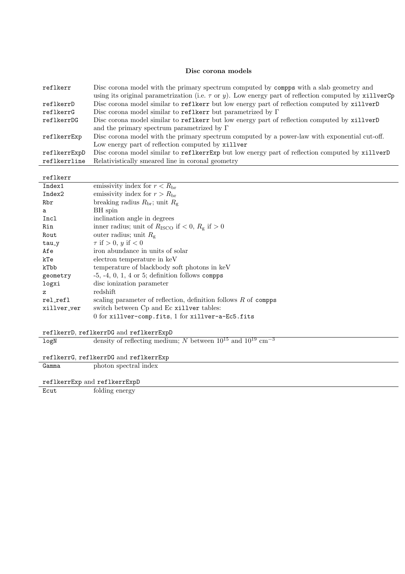#### Disc corona models

| reflkerr     | Disc corona model with the primary spectrum computed by compps with a slab geometry and                    |
|--------------|------------------------------------------------------------------------------------------------------------|
|              | using its original parametrization (i.e. $\tau$ or y). Low energy part of reflection computed by xillverCp |
| reflkerrD    | Disc corona model similar to reflkerr but low energy part of reflection computed by xillverD               |
| reflkerrG    | Disc corona model similar to reflkerr but parametrized by $\Gamma$                                         |
| reflkerrDG   | Disc corona model similar to reflkerr but low energy part of reflection computed by xillverD               |
|              | and the primary spectrum parametrized by $\Gamma$                                                          |
| reflkerrExp  | Disc corona model with the primary spectrum computed by a power-law with exponential cut-off.              |
|              | Low energy part of reflection computed by xillver                                                          |
| reflkerrExpD | Disc corona model similar to reflkerrExp but low energy part of reflection computed by xillverD            |
| reflkerrline | Relativistically smeared line in coronal geometry                                                          |
|              |                                                                                                            |

reflkerr

| Index1       | emissivity index for $r < R_{\rm br}$                                   |
|--------------|-------------------------------------------------------------------------|
| Index2       | emissivity index for $r > R_{\rm br}$                                   |
| Rbr          | breaking radius $R_{\rm br}$ ; unit $R_{\rm g}$                         |
| a            | BH spin                                                                 |
| Incl         | inclination angle in degrees                                            |
| Rin          | inner radius; unit of $R_{\text{ISCO}}$ if $< 0$ , $R_{\rm g}$ if $> 0$ |
| Rout         | outer radius; unit $R_{\rm g}$                                          |
| tau_y        | $\tau$ if $> 0$ , y if $< 0$                                            |
| Afe          | iron abundance in units of solar                                        |
| kTe          | electron temperature in keV                                             |
| kTbb         | temperature of blackbody soft photons in keV                            |
| geometry     | $-5, -4, 0, 1, 4$ or 5; definition follows compps                       |
| logxi        | disc ionization parameter                                               |
| $\mathbf{z}$ | redshift                                                                |
| rel_refl     | scaling parameter of reflection, definition follows $R$ of compps       |
| xillver_ver  | switch between Cp and Ec xillver tables:                                |
|              | 0 for xillver-comp.fits, 1 for xillver-a-Ec5.fits                       |
|              |                                                                         |

```
reflkerrD, reflkerrDG and reflkerrExpD
```

| logN | density of reflecting medium; N between $10^{15}$ and $10^{19}$ cm <sup>-3</sup> |
|------|----------------------------------------------------------------------------------|
|      |                                                                                  |

reflkerrG, reflkerrDG and reflkerrExp Gamma photon spectral index

reflkerrExp and reflkerrExpD

Ecut folding energy